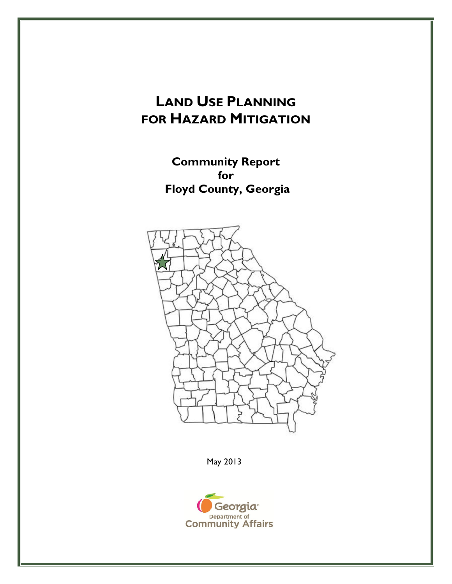# **LAND USE PLANNING FOR HAZARD MITIGATION**

**Community Report for Floyd County, Georgia** 



May 2013

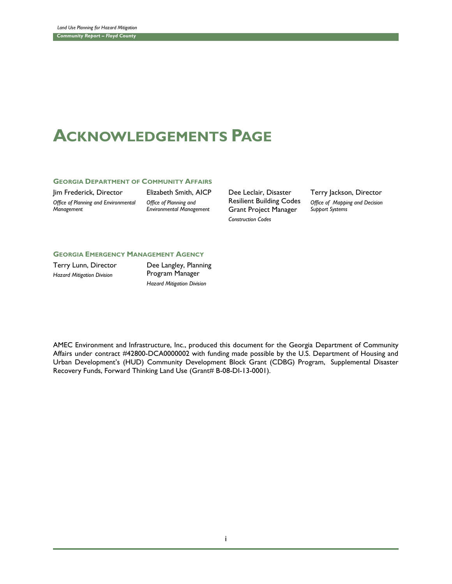# **ACKNOWLEDGEMENTS PAGE**

#### **GEORGIA DEPARTMENT OF COMMUNITY AFFAIRS**

Jim Frederick, Director *Office of Planning and Environmental Management*

Elizabeth Smith, AICP *Office of Planning and Environmental Management*

Dee Leclair, Disaster Resilient Building Codes Grant Project Manager *Construction Codes*

Terry Jackson, Director *Office of Mapping and Decision Support Systems*

#### **GEORGIA EMERGENCY MANAGEMENT AGENCY**

Terry Lunn, Director *Hazard Mitigation Division*

Dee Langley, Planning Program Manager *Hazard Mitigation Division*

AMEC Environment and Infrastructure, Inc., produced this document for the Georgia Department of Community Affairs under contract #42800-DCA0000002 with funding made possible by the U.S. Department of Housing and Urban Development's (HUD) Community Development Block Grant (CDBG) Program, Supplemental Disaster Recovery Funds, Forward Thinking Land Use (Grant# B-08-DI-13-0001).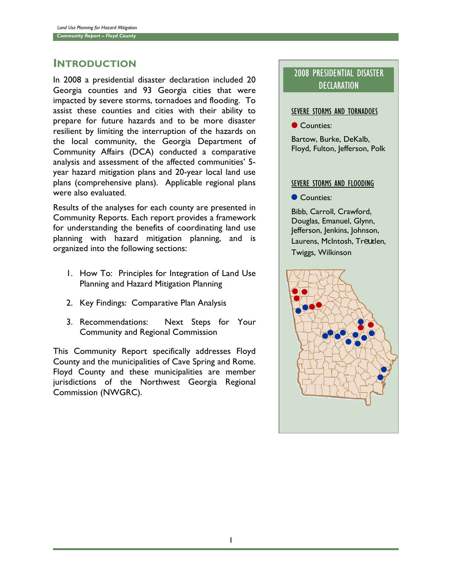## INTRODUCTION

In 2008 a presidential disaster declaration included 20 Georgia counties and 93 Georgia cities that were impacted by severe storms, tornadoes and flooding. To assist these counties and cities with their ability to prepare for future hazards and to be more disaster resilient by limiting the interruption of the hazards on the local community, the Georgia Department of Community Affairs (DCA) conducted a comparative analysis and assessment of the affected communities' 5 year hazard mitigation plans and 20-year local land use plans (comprehensive plans). Applicable regional plans were also evaluated.

Results of the analyses for each county are presented in Community Reports. Each report provides a framework for understanding the benefits of coordinating land use planning with hazard mitigation planning, and is organized into the following sections:

- 1. How To: Principles for Integration of Land Use Planning and Hazard Mitigation Planning
- 2. Key Findings: Comparative Plan Analysis
- 3. Recommendations: Next Steps for Your Community and Regional Commission

This Community Report specifically addresses Floyd County and the municipalities of Cave Spring and Rome. Floyd County and these municipalities are member jurisdictions of the Northwest Georgia Regional Commission (NWGRC).

## 2008 PRESIDENTIAL DISASTER **DECLARATION**

### SEVERE STORMS AND TORNADOES

Counties:

Bartow, Burke, DeKalb, Floyd, Fulton, Jefferson, Polk

### SEVERE STORMS AND FLOODING

Counties:

Bibb, Carroll, Crawford, Douglas, Emanuel, Glynn, Jefferson, Jenkins, Johnson, Laurens, McIntosh, Treutlen, Twiggs, Wilkinson